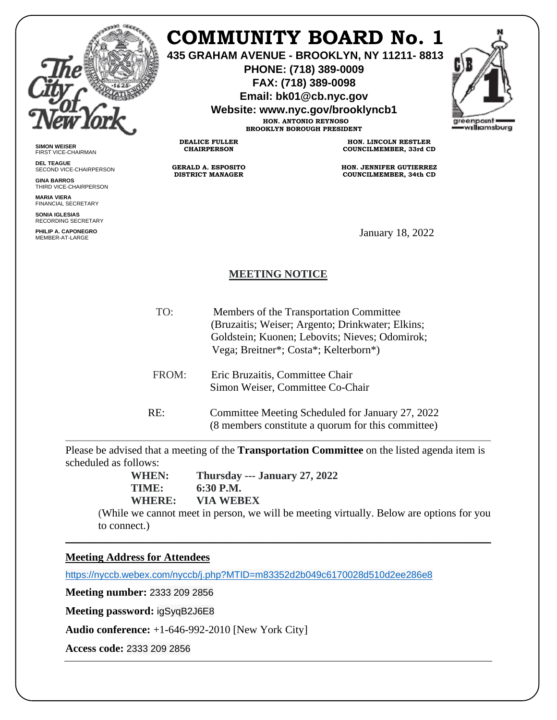

**SIMON WEISER** FIRST VICE-CHAIRMAN **DEL TEAGUE**

**GINA BARROS** THIRD VICE-CHAIRPERSON

**MARIA VIERA** FINANCIAL SECRETARY **SONIA IGLESIAS** RECORDING SECRETARY **PHILIP A. CAPONEGRO**

SECOND VICE-CHAIRPERSON

## **COMMUNITY BOARD No. 1**

**435 GRAHAM AVENUE - BROOKLYN, NY 11211- 8813**

**PHONE: (718) 389-0009 FAX: (718) 389-0098**

**Email: bk01@cb.nyc.gov**

**Website: www.nyc.gov/brooklyncb1**

**HON. ANTONIO REYNOSO BROOKLYN BOROUGH PRESIDENT**

**DEALICE FULLER CHAIRPERSON**

**GERALD A. ESPOSITO DISTRICT MANAGER**

**HON. LINCOLN RESTLER COUNCILMEMBER, 33rd CD**

**HON. JENNIFER GUTIERREZ COUNCILMEMBER, 34th CD**

January 18, 2022

## **MEETING NOTICE**

| TO:   | Members of the Transportation Committee<br>(Bruzaitis; Weiser; Argento; Drinkwater; Elkins;<br>Goldstein; Kuonen; Lebovits; Nieves; Odomirok;<br>Vega; Breitner*; Costa*; Kelterborn*) |
|-------|----------------------------------------------------------------------------------------------------------------------------------------------------------------------------------------|
| FROM: | Eric Bruzaitis, Committee Chair<br>Simon Weiser, Committee Co-Chair                                                                                                                    |
| RE:   | Committee Meeting Scheduled for January 27, 2022<br>(8 members constitute a quorum for this committee)                                                                                 |

Please be advised that a meeting of the **Transportation Committee** on the listed agenda item is scheduled as follows:

\_\_\_\_\_\_\_\_\_\_\_\_\_\_\_\_\_\_\_\_\_\_\_\_\_\_\_\_\_\_\_\_\_\_\_\_\_\_\_\_\_\_\_\_\_\_\_\_\_\_\_\_\_\_\_\_\_\_\_\_\_\_\_\_\_\_\_\_\_\_\_\_\_\_\_\_\_\_

**WHEN: Thursday --- January 27, 2022 TIME: 6:30 P.M.**

**WHERE: VIA WEBEX**

(While we cannot meet in person, we will be meeting virtually. Below are options for you to connect.)

## **Meeting Address for Attendees**

<https://nyccb.webex.com/nyccb/j.php?MTID=m83352d2b049c6170028d510d2ee286e8>

**Meeting number:** 2333 209 2856

**Meeting password:** igSyqB2J6E8

**Audio conference:** +1-646-992-2010 [New York City]

**Access code:** 2333 209 2856